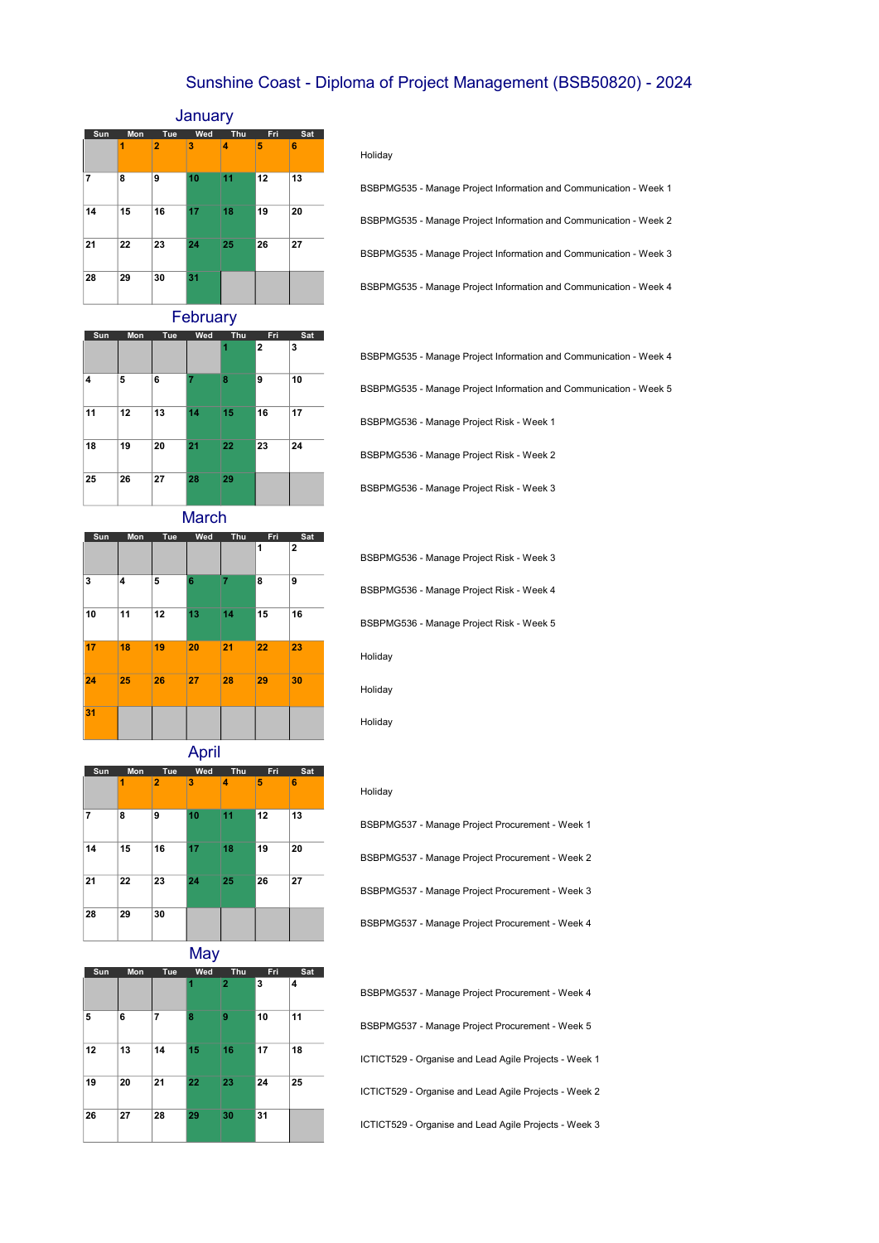# Sunshine Coast - Diploma of Project Management (BSB50820) - 2024

## January

| Sun | Mon | Tue            | Wed | Thu | Fri | Sat |
|-----|-----|----------------|-----|-----|-----|-----|
|     | 1   | $\overline{2}$ | 3   | 4   | 5   | 6   |
| 7   | 8   | 9              | 10  | 11  | 12  | 13  |
| 14  | 15  | 16             | 17  | 18  | 19  | 20  |
| 21  | 22  | 23             | 24  | 25  | 26  | 27  |
| 28  | 29  | 30             | 31  |     |     |     |

### Holiday

| BSBPMG535 - Manage Project Information and Communication - Week 1 |
|-------------------------------------------------------------------|
| BSBPMG535 - Manage Project Information and Communication - Week 2 |
| BSBPMG535 - Manage Project Information and Communication - Week 3 |
| BSBPMG535 - Manage Project Information and Communication - Week 4 |

**February** 

| Sun | Mon | Tue | Wed | Thu | Fri            | Sat |
|-----|-----|-----|-----|-----|----------------|-----|
|     |     |     |     | 1   | $\overline{2}$ | 3   |
| 4   | 5   | 6   | 7   | 8   | 9              | 10  |
| 11  | 12  | 13  | 14  | 15  | 16             | 17  |
| 18  | 19  | 20  | 21  | 22  | 23             | 24  |
| 25  | 26  | 27  | 28  | 29  |                |     |

| BSBPMG535 - Manage Project Information and Communication - Week 4 |
|-------------------------------------------------------------------|
| BSBPMG535 - Manage Project Information and Communication - Week 5 |
| BSBPMG536 - Manage Project Risk - Week 1                          |
| BSBPMG536 - Manage Project Risk - Week 2                          |
| BSBPMG536 - Manage Project Risk - Week 3                          |

March

| Sun | Mon | Tue | Wed | Thu | Fri | Sat            |
|-----|-----|-----|-----|-----|-----|----------------|
|     |     |     |     |     | 1   | $\overline{2}$ |
| 3   | 4   | 5   | 6   | 7   | 8   | 9              |
| 10  | 11  | 12  | 13  | 14  | 15  | 16             |
| 17  | 18  | 19  | 20  | 21  | 22  | 23             |
| 24  | 25  | 26  | 27  | 28  | 29  | 30             |
| 31  |     |     |     |     |     |                |

| BSBPMG536 - Manage Project Risk - Week 3 |
|------------------------------------------|
| BSBPMG536 - Manage Project Risk - Week 4 |
| BSBPMG536 - Manage Project Risk - Week 5 |
| Holiday                                  |
| Holiday                                  |

April

| Sun | Mon | Tue            | Wed | Thu | Fri | Sat |
|-----|-----|----------------|-----|-----|-----|-----|
|     | 1   | $\overline{2}$ | 3   | 4   | 5   | 6   |
| 7   | 8   | 9              | 10  | 11  | 12  | 13  |
| 14  | 15  | 16             | 17  | 18  | 19  | 20  |
| 21  | 22  | 23             | 24  | 25  | 26  | 27  |
| 28  | 29  | 30             |     |     |     |     |

**May** 

|     |     |     | ┚   |                |     |     |
|-----|-----|-----|-----|----------------|-----|-----|
| Sun | Mon | Tue | Wed | Thu            | Fri | Sat |
|     |     |     | 1   | $\overline{2}$ | 3   | 4   |
| 5   | 6   | 7   | 8   | 9              | 10  | 11  |
| 12  | 13  | 14  | 15  | 16             | 17  | 18  |
| 19  | 20  | 21  | 22  | 23             | 24  | 25  |
| 26  | 27  | 28  | 29  | 30             | 31  |     |

| Holidav |  |
|---------|--|
|         |  |

Holiday

| BSBPMG537 - Manage Project Procurement - Week 1 |
|-------------------------------------------------|
| BSBPMG537 - Manage Project Procurement - Week 2 |
| BSBPMG537 - Manage Project Procurement - Week 3 |
| BSBPMG537 - Manage Project Procurement - Week 4 |

BSBPMG537 - Manage Project Procurement - Week 4 BSBPMG537 - Manage Project Procurement - Week 5 ICTICT529 - Organise and Lead Agile Projects - Week 1 ICTICT529 - Organise and Lead Agile Projects - Week 2 ICTICT529 - Organise and Lead Agile Projects - Week 3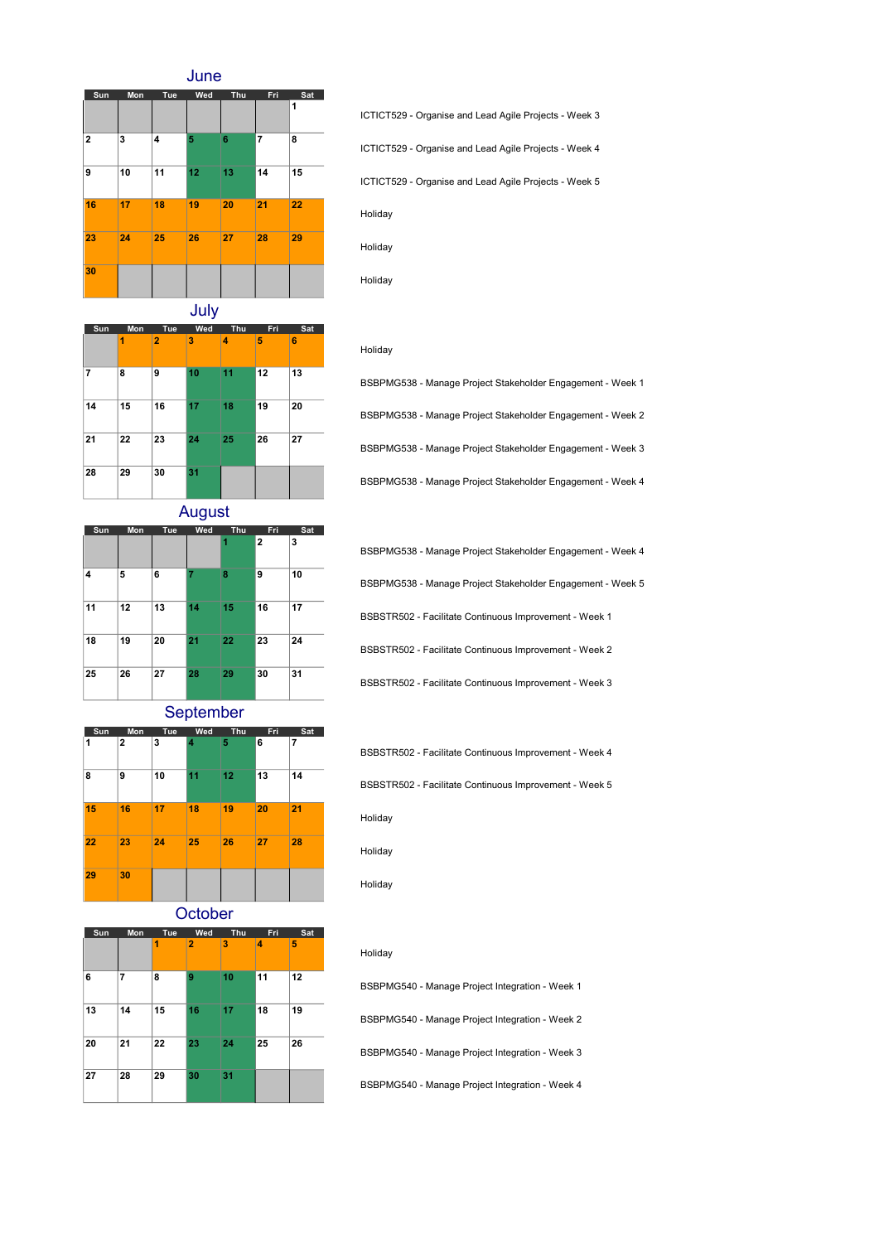June



ICTICT529 - Organise and Lead Agile Projects - Week 3 ICTICT529 - Organise and Lead Agile Projects - Week 4 ICTICT529 - Organise and Lead Agile Projects - Week 5 Holiday Holiday

July

|     |     |                | ◢   |     |     |     |
|-----|-----|----------------|-----|-----|-----|-----|
| Sun | Mon | Tue            | Wed | Thu | Fri | Sat |
|     | 1   | $\overline{2}$ | 3   | 4   | 5   | 6   |
| 7   | 8   | 9              | 10  | 11  | 12  | 13  |
| 14  | 15  | 16             | 17  | 18  | 19  | 20  |
| 21  | 22  | 23             | 24  | 25  | 26  | 27  |
| 28  | 29  | 30             | 31  |     |     |     |

Sun Mon Tue Wed Thu Fri Sat

August

4 5 6 7 8 9 10

11 12 13 14 15 16 17

18 19 20 21 22 23 24

25 26 27 28 29 30 31

September

 $\overline{\smash{)}\ 2 \ \ \ \ \ \ \ \ \ \ \ \ \ \ \ }$ 

BSBPMG538 - Manage Project Stakeholder Engagement - Week 1 BSBPMG538 - Manage Project Stakeholder Engagement - Week 2 BSBPMG538 - Manage Project Stakeholder Engagement - Week 3 BSBPMG538 - Manage Project Stakeholder Engagement - Week 4

BSBPMG538 - Manage Project Stakeholder Engagement - Week 4 BSBPMG538 - Manage Project Stakeholder Engagement - Week 5 BSBSTR502 - Facilitate Continuous Improvement - Week 1 BSBSTR502 - Facilitate Continuous Improvement - Week 2 BSBSTR502 - Facilitate Continuous Improvement - Week 3

BSBSTR502 - Facilitate Continuous Improvement - Week 4

BSBSTR502 - Facilitate Continuous Improvement - Week 5



**October** 

| ----- |     |     |                |     |     |     |  |  |
|-------|-----|-----|----------------|-----|-----|-----|--|--|
| Sun   | Mon | Tue | Wed            | Thu | Fri | Sat |  |  |
|       |     | 1   | $\overline{2}$ | 3   | 4   | 5   |  |  |
| 6     | 7   | 8   | 9              | 10  | 11  | 12  |  |  |
| 13    | 14  | 15  | 16             | 17  | 18  | 19  |  |  |
| 20    | 21  | 22  | 23             | 24  | 25  | 26  |  |  |
| 27    | 28  | 29  | 30             | 31  |     |     |  |  |

Holiday

Holiday

Holiday

Holiday

Holiday

#### Holiday

BSBPMG540 - Manage Project Integration - Week 1 BSBPMG540 - Manage Project Integration - Week 2 BSBPMG540 - Manage Project Integration - Week 3 BSBPMG540 - Manage Project Integration - Week 4